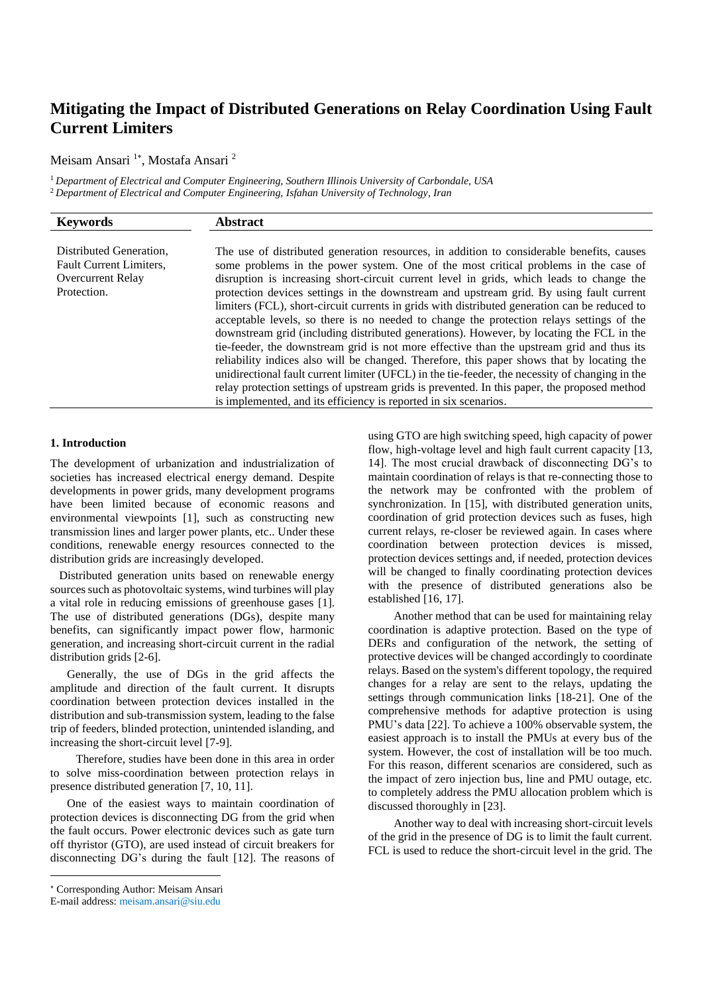# **Mitigating the Impact of Distributed Generations on Relay Coordination Using Fault Current Limiters**

Meisam Ansari<sup>1</sup>\*, Mostafa Ansari<sup>2</sup>

<sup>1</sup> *Department of Electrical and Computer Engineering, Southern Illinois University of Carbondale, USA* <sup>2</sup> *Department of Electrical and Computer Engineering, Isfahan University of Technology, Iran*

| <b>Keywords</b>                                                                        | <b>Abstract</b>                                                                                                                                                                                                                                                                                                                                                                                                                                                                                                                                                                                                                                                                                                                                                                                                                                                                                                                                                                                                                                                                                                                    |
|----------------------------------------------------------------------------------------|------------------------------------------------------------------------------------------------------------------------------------------------------------------------------------------------------------------------------------------------------------------------------------------------------------------------------------------------------------------------------------------------------------------------------------------------------------------------------------------------------------------------------------------------------------------------------------------------------------------------------------------------------------------------------------------------------------------------------------------------------------------------------------------------------------------------------------------------------------------------------------------------------------------------------------------------------------------------------------------------------------------------------------------------------------------------------------------------------------------------------------|
| Distributed Generation.<br>Fault Current Limiters,<br>Overcurrent Relay<br>Protection. | The use of distributed generation resources, in addition to considerable benefits, causes<br>some problems in the power system. One of the most critical problems in the case of<br>disruption is increasing short-circuit current level in grids, which leads to change the<br>protection devices settings in the downstream and upstream grid. By using fault current<br>limiters (FCL), short-circuit currents in grids with distributed generation can be reduced to<br>acceptable levels, so there is no needed to change the protection relays settings of the<br>downstream grid (including distributed generations). However, by locating the FCL in the<br>tie-feeder, the downstream grid is not more effective than the upstream grid and thus its<br>reliability indices also will be changed. Therefore, this paper shows that by locating the<br>unidirectional fault current limiter (UFCL) in the tie-feeder, the necessity of changing in the<br>relay protection settings of upstream grids is prevented. In this paper, the proposed method<br>is implemented, and its efficiency is reported in six scenarios. |

## **1. Introduction**

The development of urbanization and industrialization of societies has increased electrical energy demand. Despite developments in power grids, many development programs have been limited because of economic reasons and environmental viewpoints [\[1\]](#page-5-0), such as constructing new transmission lines and larger power plants, etc.. Under these conditions, renewable energy resources connected to the distribution grids are increasingly developed.

 Distributed generation units based on renewable energy sources such as photovoltaic systems, wind turbines will play a vital role in reducing emissions of greenhouse gases [\[1\]](#page-5-0). The use of distributed generations (DGs), despite many benefits, can significantly impact power flow, harmonic generation, and increasing short-circuit current in the radial distribution grids [\[2-6\]](#page-5-1).

Generally, the use of DGs in the grid affects the amplitude and direction of the fault current. It disrupts coordination between protection devices installed in the distribution and sub-transmission system, leading to the false trip of feeders, blinded protection, unintended islanding, and increasing the short-circuit level [\[7-9\]](#page-5-2).

 Therefore, studies have been done in this area in order to solve miss-coordination between protection relays in presence distributed generation [\[7,](#page-5-2) [10,](#page-5-3) [11\]](#page-5-4).

One of the easiest ways to maintain coordination of protection devices is disconnecting DG from the grid when the fault occurs. Power electronic devices such as gate turn off thyristor (GTO), are used instead of circuit breakers for disconnecting DG's during the fault [\[12\]](#page-5-5). The reasons of using GTO are high switching speed, high capacity of power flow, high-voltage level and high fault current capacity [\[13,](#page-6-0) [14\]](#page-6-1). The most crucial drawback of disconnecting DG's to maintain coordination of relays is that re-connecting those to the network may be confronted with the problem of synchronization. In [\[15\]](#page-6-2), with distributed generation units, coordination of grid protection devices such as fuses, high current relays, re-closer be reviewed again. In cases where coordination between protection devices is missed, protection devices settings and, if needed, protection devices will be changed to finally coordinating protection devices with the presence of distributed generations also be established [\[16,](#page-6-3) [17\]](#page-6-4).

 Another method that can be used for maintaining relay coordination is adaptive protection. Based on the type of DERs and configuration of the network, the setting of protective devices will be changed accordingly to coordinate relays. Based on the system's different topology, the required changes for a relay are sent to the relays, updating the settings through communication links [\[18-21\]](#page-6-5). One of the comprehensive methods for adaptive protection is using PMU's data [\[22\]](#page-6-6). To achieve a 100% observable system, the easiest approach is to install the PMUs at every bus of the system. However, the cost of installation will be too much. For this reason, different scenarios are considered, such as the impact of zero injection bus, line and PMU outage, etc. to completely address the PMU allocation problem which is discussed thoroughly in [\[23\]](#page-6-7).

 Another way to deal with increasing short-circuit levels of the grid in the presence of DG is to limit the fault current. FCL is used to reduce the short-circuit level in the grid. The

Corresponding Author: Meisam Ansari

E-mail address: meisam.ansari@siu.edu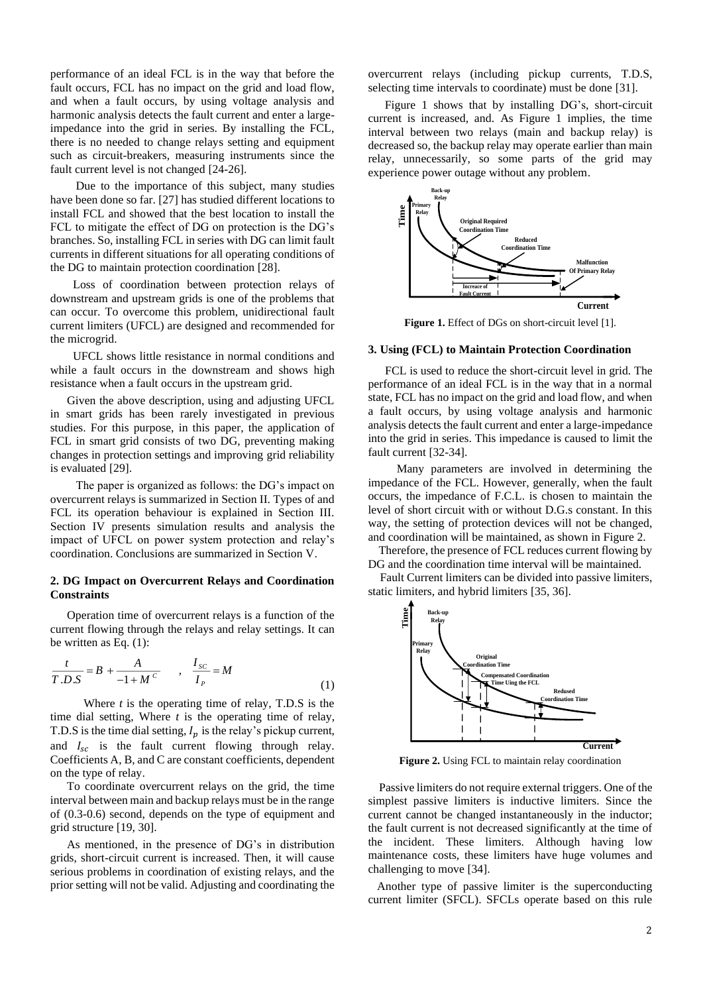performance of an ideal FCL is in the way that before the fault occurs, FCL has no impact on the grid and load flow, and when a fault occurs, by using voltage analysis and harmonic analysis detects the fault current and enter a largeimpedance into the grid in series. By installing the FCL, there is no needed to change relays setting and equipment such as circuit-breakers, measuring instruments since the fault current level is not changed [\[24-26\]](#page-6-8).

 Due to the importance of this subject, many studies have been done so far. [\[27\]](#page-6-9) has studied different locations to install FCL and showed that the best location to install the FCL to mitigate the effect of DG on protection is the DG's branches. So, installing FCL in series with DG can limit fault currents in different situations for all operating conditions of the DG to maintain protection coordination [\[28\]](#page-6-10).

 Loss of coordination between protection relays of downstream and upstream grids is one of the problems that can occur. To overcome this problem, unidirectional fault current limiters (UFCL) are designed and recommended for the microgrid.

 UFCL shows little resistance in normal conditions and while a fault occurs in the downstream and shows high resistance when a fault occurs in the upstream grid.

Given the above description, using and adjusting UFCL in smart grids has been rarely investigated in previous studies. For this purpose, in this paper, the application of FCL in smart grid consists of two DG, preventing making changes in protection settings and improving grid reliability is evaluated [\[29\]](#page-6-11).

 The paper is organized as follows: the DG's impact on overcurrent relays is summarized in Section II. Types of and FCL its operation behaviour is explained in Section III. Section IV presents simulation results and analysis the impact of UFCL on power system protection and relay's coordination. Conclusions are summarized in Section V.

#### **2. DG Impact on Overcurrent Relays and Coordination Constraints**

Operation time of overcurrent relays is a function of the current flowing through the relays and relay settings. It can be written as Eq. (1):

$$
\frac{t}{T.D.S} = B + \frac{A}{-1 + M^c} , \quad \frac{I_{SC}}{I_P} = M
$$
 (1)

Where *t* is the operating time of relay, T.D.S is the time dial setting, Where *t* is the operating time of relay, T.D.S is the time dial setting,  $I_p$  is the relay's pickup current, and  $I_{sc}$  is the fault current flowing through relay. Coefficients A, B, and C are constant coefficients, dependent on the type of relay.

To coordinate overcurrent relays on the grid, the time interval between main and backup relays must be in the range of (0.3-0.6) second, depends on the type of equipment and grid structure [\[19,](#page-6-12) [30\]](#page-6-13).

As mentioned, in the presence of DG's in distribution grids, short-circuit current is increased. Then, it will cause serious problems in coordination of existing relays, and the prior setting will not be valid. Adjusting and coordinating the

overcurrent relays (including pickup currents, T.D.S, selecting time intervals to coordinate) must be done [\[31\]](#page-6-14).

[Figure 1](#page-1-0) shows that by installing DG's, short-circuit current is increased, and. As [Figure 1](#page-1-0) implies, the time interval between two relays (main and backup relay) is decreased so, the backup relay may operate earlier than main relay, unnecessarily, so some parts of the grid may experience power outage without any problem.



**Figure 1.** Effect of DGs on short-circuit level [\[1\]](#page-5-0).

#### <span id="page-1-0"></span>**3. Using (FCL) to Maintain Protection Coordination**

FCL is used to reduce the short-circuit level in grid. The performance of an ideal FCL is in the way that in a normal state, FCL has no impact on the grid and load flow, and when a fault occurs, by using voltage analysis and harmonic analysis detects the fault current and enter a large-impedance into the grid in series. This impedance is caused to limit the fault current [\[32-34\]](#page-6-15).

 Many parameters are involved in determining the impedance of the FCL. However, generally, when the fault occurs, the impedance of F.C.L. is chosen to maintain the level of short circuit with or without D.G.s constant. In this way, the setting of protection devices will not be changed, and coordination will be maintained, as shown in [Figure 2.](#page-1-1)

Therefore, the presence of FCL reduces current flowing by DG and the coordination time interval will be maintained.

 Fault Current limiters can be divided into passive limiters, static limiters, and hybrid limiters [\[35,](#page-6-16) [36\]](#page-6-17).



**Figure 2.** Using FCL to maintain relay coordination

<span id="page-1-1"></span>Passive limiters do not require external triggers. One of the simplest passive limiters is inductive limiters. Since the current cannot be changed instantaneously in the inductor; the fault current is not decreased significantly at the time of the incident. These limiters. Although having low maintenance costs, these limiters have huge volumes and challenging to move [\[34\]](#page-6-18).

 Another type of passive limiter is the superconducting current limiter (SFCL). SFCLs operate based on this rule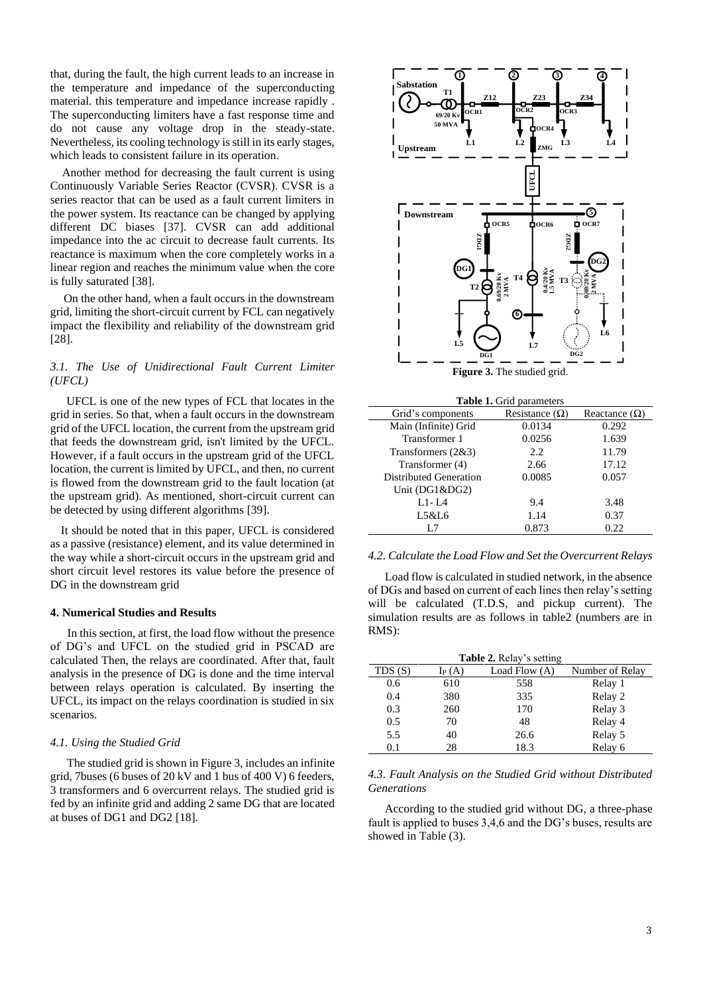that, during the fault, the high current leads to an increase in the temperature and impedance of the superconducting material. this temperature and impedance increase rapidly . The superconducting limiters have a fast response time and do not cause any voltage drop in the steady-state. Nevertheless, its cooling technology is still in its early stages, which leads to consistent failure in its operation.

 Another method for decreasing the fault current is using Continuously Variable Series Reactor (CVSR). CVSR is a series reactor that can be used as a fault current limiters in the power system. Its reactance can be changed by applying different DC biases [\[37\]](#page-6-19). CVSR can add additional impedance into the ac circuit to decrease fault currents. Its reactance is maximum when the core completely works in a linear region and reaches the minimum value when the core is fully saturated [\[38\]](#page-6-20).

On the other hand, when a fault occurs in the downstream grid, limiting the short-circuit current by FCL can negatively impact the flexibility and reliability of the downstream grid [\[28\]](#page-6-10).

## *3.1. The Use of Unidirectional Fault Current Limiter (UFCL)*

UFCL is one of the new types of FCL that locates in the grid in series. So that, when a fault occurs in the downstream grid of the UFCL location, the current from the upstream grid that feeds the downstream grid, isn't limited by the UFCL. However, if a fault occurs in the upstream grid of the UFCL location, the current is limited by UFCL, and then, no current is flowed from the downstream grid to the fault location (at the upstream grid). As mentioned, short-circuit current can be detected by using different algorithms [\[39\]](#page-6-21).

It should be noted that in this paper, UFCL is considered as a passive (resistance) element, and its value determined in the way while a short-circuit occurs in the upstream grid and short circuit level restores its value before the presence of DG in the downstream grid

#### **4. Numerical Studies and Results**

In this section, at first, the load flow without the presence of DG's and UFCL on the studied grid in PSCAD are calculated Then, the relays are coordinated. After that, fault analysis in the presence of DG is done and the time interval between relays operation is calculated. By inserting the UFCL, its impact on the relays coordination is studied in six scenarios.

#### *4.1. Using the Studied Grid*

The studied grid is shown i[n Figure 3,](#page-2-0) includes an infinite grid, 7buses (6 buses of 20 kV and 1 bus of 400 V) 6 feeders, 3 transformers and 6 overcurrent relays. The studied grid is fed by an infinite grid and adding 2 same DG that are located at buses of DG1 and DG2 [\[18\]](#page-6-5).



<span id="page-2-0"></span>

| <b>Table 1.</b> Grid parameters |                       |                      |  |
|---------------------------------|-----------------------|----------------------|--|
| Grid's components               | Resistance $(\Omega)$ | Reactance $(\Omega)$ |  |
| Main (Infinite) Grid            | 0.0134                | 0.292                |  |
| Transformer 1                   | 0.0256                | 1.639                |  |
| Transformers $(2&3)$            | 2.2                   | 11.79                |  |
| Transformer (4)                 | 2.66                  | 17.12                |  |
| Distributed Generation          | 0.0085                | 0.057                |  |
| Unit $(DG1\&DG2)$               |                       |                      |  |
| $L1-IA$                         | 9.4                   | 3.48                 |  |
| L5&L6                           | 1.14                  | 0.37                 |  |
| L.7                             | 0.873                 | 0.22                 |  |

#### *4.2. Calculate the Load Flow and Set the Overcurrent Relays*

Load flow is calculated in studied network, in the absence of DGs and based on current of each lines then relay's setting will be calculated (T.D.S, and pickup current). The simulation results are as follows in table2 (numbers are in RMS):

| <b>Table 2.</b> Relay's setting |          |               |                 |  |
|---------------------------------|----------|---------------|-----------------|--|
| TDS(S)                          | $I_P(A)$ | Load Flow (A) | Number of Relay |  |
| 0.6                             | 610      | 558           | Relay 1         |  |
| 0.4                             | 380      | 335           | Relay 2         |  |
| 0.3                             | 260      | 170           | Relay 3         |  |
| 0.5                             | 70       | 48            | Relay 4         |  |
| 5.5                             | 40       | 26.6          | Relay 5         |  |
| 0.1                             | 28       | 18.3          | Relay 6         |  |

#### *4.3. Fault Analysis on the Studied Grid without Distributed Generations*

According to the studied grid without DG, a three-phase fault is applied to buses 3,4,6 and the DG's buses, results are showed in Table (3).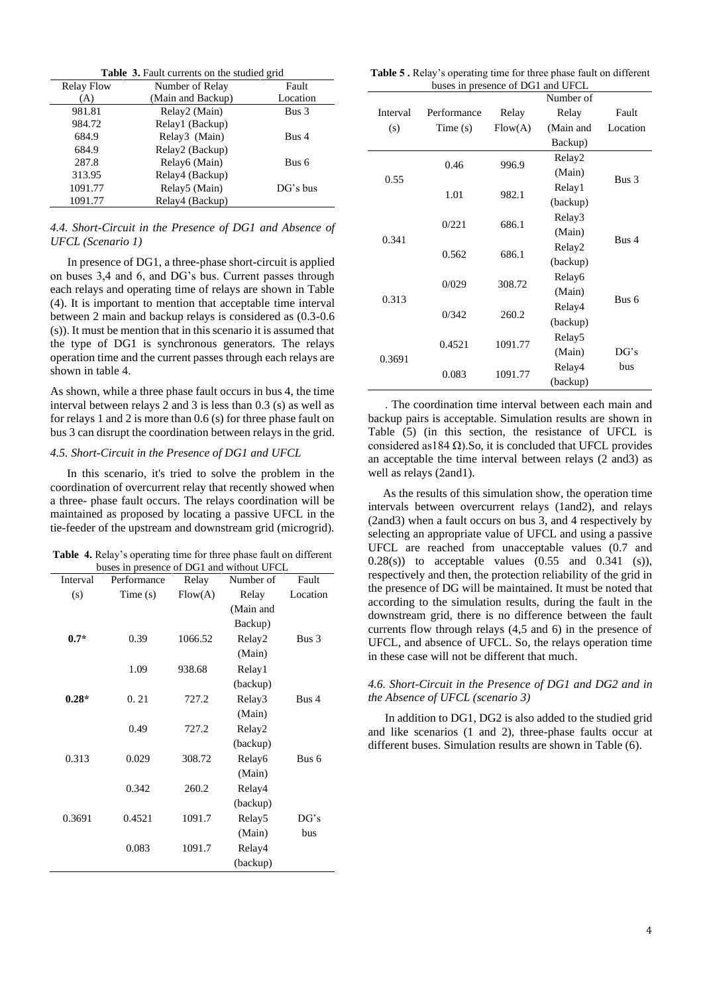|                   | <b>Table 3.</b> Fault currents on the studied grid |          |  |  |
|-------------------|----------------------------------------------------|----------|--|--|
| <b>Relay Flow</b> | Number of Relay                                    | Fault    |  |  |
| A)                | (Main and Backup)                                  | Location |  |  |
| 981.81            | Relay2 (Main)                                      | Bus 3    |  |  |
| 984.72            | Relay1 (Backup)                                    |          |  |  |
| 684.9             | Relay3 (Main)                                      | Bus 4    |  |  |
| 684.9             | Relay2 (Backup)                                    |          |  |  |
| 287.8             | Relay6 (Main)                                      | Bus 6    |  |  |
| 313.95            | Relay4 (Backup)                                    |          |  |  |
| 1091.77           | Relay5 (Main)                                      | DG's bus |  |  |
| 1091.77           | Relay4 (Backup)                                    |          |  |  |

#### *4.4. Short-Circuit in the Presence of DG1 and Absence of UFCL (Scenario 1)*

In presence of DG1, a three-phase short-circuit is applied on buses 3,4 and 6, and DG's bus. Current passes through each relays and operating time of relays are shown in Table (4). It is important to mention that acceptable time interval between 2 main and backup relays is considered as (0.3-0.6 (s)). It must be mention that in this scenario it is assumed that the type of DG1 is synchronous generators. The relays operation time and the current passes through each relays are shown in table 4.

As shown, while a three phase fault occurs in bus 4, the time interval between relays 2 and 3 is less than 0.3 (s) as well as for relays 1 and 2 is more than 0.6 (s) for three phase fault on bus 3 can disrupt the coordination between relays in the grid.

#### *4.5. Short-Circuit in the Presence of DG1 and UFCL*

In this scenario, it's tried to solve the problem in the coordination of overcurrent relay that recently showed when a three- phase fault occurs. The relays coordination will be maintained as proposed by locating a passive UFCL in the tie-feeder of the upstream and downstream grid (microgrid).

**Table 4.** Relay's operating time for three phase fault on different buses in presence of DG1 and without UFCL

| Interval | Performance | Relay   | Number of          | Fault    |
|----------|-------------|---------|--------------------|----------|
| (s)      | Time(s)     | Flow(A) | Relay              | Location |
|          |             |         | (Main and          |          |
|          |             |         | Backup)            |          |
| $0.7*$   | 0.39        | 1066.52 | Relay2             | Bus 3    |
|          |             |         | (Main)             |          |
|          | 1.09        | 938.68  | Relay1             |          |
|          |             |         | (backup)           |          |
| $0.28*$  | 0.21        | 727.2   | Relay3             | Bus 4    |
|          |             |         | (Main)             |          |
|          | 0.49        | 727.2   | Relay2             |          |
|          |             |         | (backup)           |          |
| 0.313    | 0.029       | 308.72  | Relay6             | Bus 6    |
|          |             |         | (Main)             |          |
|          | 0.342       | 260.2   | Relay4             |          |
|          |             |         | (backup)           |          |
| 0.3691   | 0.4521      | 1091.7  | Relay <sub>5</sub> | DG's     |
|          |             |         | (Main)             | bus      |
|          | 0.083       | 1091.7  | Relay4             |          |
|          |             |         | (backup)           |          |

**Table 5 .** Relay's operating time for three phase fault on different buses in presence of DG1 and UFCL

|                |                 |         | Number of          |          |
|----------------|-----------------|---------|--------------------|----------|
| Interval       | Performance     | Relay   | Relay              | Fault    |
| (s)            | Time(s)         | Flow(A) | (Main and          | Location |
|                |                 |         | Backup)            |          |
|                | 0.46            | 996.9   | Relay2             |          |
| 0.55           |                 |         | (Main)             | Bus 3    |
|                | 1.01            | 982.1   | Relay1             |          |
|                |                 |         | (backup)           |          |
|                |                 |         | Relay3             |          |
| 0.341<br>0.562 | 0/221<br>686.1  |         | (Main)             |          |
|                |                 | 686.1   | Relay2             | Rus 4    |
|                |                 |         | (backup)           |          |
|                |                 |         | Relay <sub>6</sub> |          |
|                | 0/029<br>308.72 | (Main)  |                    |          |
| 0.313          |                 |         | Relay4             | Rus 6    |
|                | 0/342           | 260.2   | (backup)           |          |
|                |                 |         | Relay <sub>5</sub> |          |
|                | 0.4521          | 1091.77 | (Main)             | DG's     |
| 0.3691         |                 |         | Relay4             | bus      |
|                | 0.083           | 1091.77 | (backup)           |          |

. The coordination time interval between each main and backup pairs is acceptable. Simulation results are shown in Table (5) (in this section, the resistance of UFCL is considered as184  $\Omega$ ). So, it is concluded that UFCL provides an acceptable the time interval between relays (2 and3) as well as relays (2and1).

 As the results of this simulation show, the operation time intervals between overcurrent relays (1and2), and relays (2and3) when a fault occurs on bus 3, and 4 respectively by selecting an appropriate value of UFCL and using a passive UFCL are reached from unacceptable values (0.7 and  $0.28(s)$ ) to acceptable values  $(0.55 \text{ and } 0.341 \text{ (s)}),$ respectively and then, the protection reliability of the grid in the presence of DG will be maintained. It must be noted that according to the simulation results, during the fault in the downstream grid, there is no difference between the fault currents flow through relays (4,5 and 6) in the presence of UFCL, and absence of UFCL. So, the relays operation time in these case will not be different that much.

#### *4.6. Short-Circuit in the Presence of DG1 and DG2 and in the Absence of UFCL (scenario 3)*

In addition to DG1, DG2 is also added to the studied grid and like scenarios (1 and 2), three-phase faults occur at different buses. Simulation results are shown in Table (6).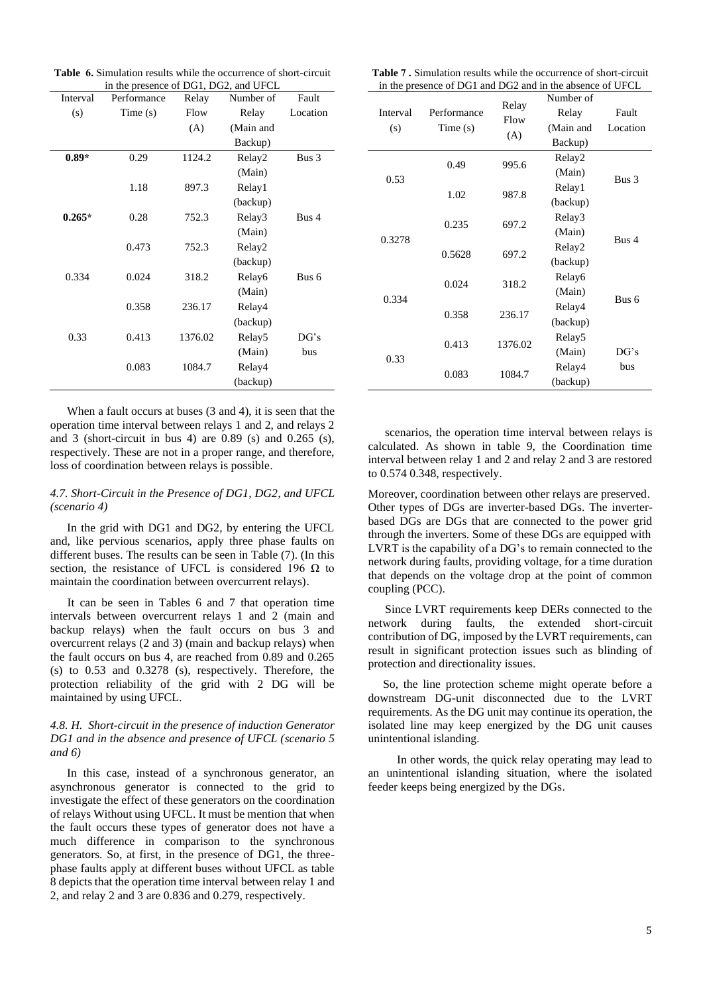| <b>Table 6.</b> Simulation results while the occurrence of short-circuit |
|--------------------------------------------------------------------------|
| in the presence of DG1, DG2, and UFCL                                    |

| Interval | Performance | Relay   | Number of          | Fault    |
|----------|-------------|---------|--------------------|----------|
| (s)      | Time(s)     | Flow    | Relay              | Location |
|          |             | (A)     | (Main and          |          |
|          |             |         | Backup)            |          |
| $0.89*$  | 0.29        | 1124.2  | Relay2             | Bus 3    |
|          |             |         | (Main)             |          |
|          | 1.18        | 897.3   | Relay1             |          |
|          |             |         | (backup)           |          |
| $0.265*$ | 0.28        | 752.3   | Relay3             | Bus 4    |
|          |             |         | (Main)             |          |
|          | 0.473       | 752.3   | Relay2             |          |
|          |             |         | (backup)           |          |
| 0.334    | 0.024       | 318.2   | Relay6             | Bus 6    |
|          |             |         | (Main)             |          |
|          | 0.358       | 236.17  | Relay4             |          |
|          |             |         | (backup)           |          |
| 0.33     | 0.413       | 1376.02 | Relay <sub>5</sub> | DG's     |
|          |             |         | (Main)             | bus      |
|          | 0.083       | 1084.7  | Relay4             |          |
|          |             |         | (backup)           |          |

When a fault occurs at buses (3 and 4), it is seen that the operation time interval between relays 1 and 2, and relays 2 and 3 (short-circuit in bus 4) are 0.89 (s) and 0.265 (s), respectively. These are not in a proper range, and therefore, loss of coordination between relays is possible.

#### *4.7. Short-Circuit in the Presence of DG1, DG2, and UFCL (scenario 4)*

In the grid with DG1 and DG2, by entering the UFCL and, like pervious scenarios, apply three phase faults on different buses. The results can be seen in Table (7). (In this section, the resistance of UFCL is considered 196  $\Omega$  to maintain the coordination between overcurrent relays).

It can be seen in Tables 6 and 7 that operation time intervals between overcurrent relays 1 and 2 (main and backup relays) when the fault occurs on bus 3 and overcurrent relays (2 and 3) (main and backup relays) when the fault occurs on bus 4, are reached from 0.89 and 0.265 (s) to 0.53 and 0.3278 (s), respectively. Therefore, the protection reliability of the grid with 2 DG will be maintained by using UFCL.

## *4.8. H. Short-circuit in the presence of induction Generator DG1 and in the absence and presence of UFCL (scenario 5 and 6)*

In this case, instead of a synchronous generator, an asynchronous generator is connected to the grid to investigate the effect of these generators on the coordination of relays Without using UFCL. It must be mention that when the fault occurs these types of generator does not have a much difference in comparison to the synchronous generators. So, at first, in the presence of DG1, the threephase faults apply at different buses without UFCL as table 8 depicts that the operation time interval between relay 1 and 2, and relay 2 and 3 are 0.836 and 0.279, respectively.

| <b>Table 7.</b> Simulation results while the occurrence of short-circuit |  |
|--------------------------------------------------------------------------|--|
| in the presence of DG1 and DG2 and in the absence of UFCL                |  |

| Interval<br>(s) | Performance<br>Time(s) | Relay<br>Flow<br>(A) | Number of<br>Relay<br>(Main and<br>Backup) | Fault<br>Location |
|-----------------|------------------------|----------------------|--------------------------------------------|-------------------|
|                 | 0.49                   | 995.6                | Relay2<br>(Main)                           |                   |
| 0.53            | 1.02                   | 987.8                | Relay1<br>(backup)                         | Bus 3             |
|                 | 0.235                  | 697.2                | Relay3                                     |                   |
| 0.3278          | 0.5628                 | 697.2                | (Main)<br>Relay2<br>(backup)               | Bus 4             |
| 0.334           | 0.024                  | 318.2                | Relay6<br>(Main)                           | Bus 6             |
|                 | 0.358                  | 236.17               | Relay4<br>(backup)                         |                   |
|                 | 0.413                  | 1376.02              | Relay <sub>5</sub><br>(Main)               | DG's              |
| 0.33            | 0.083                  | 1084.7               | Relay4<br>(backup)                         | bus               |

scenarios, the operation time interval between relays is calculated. As shown in table 9, the Coordination time interval between relay 1 and 2 and relay 2 and 3 are restored to 0.574 0.348, respectively.

Moreover, coordination between other relays are preserved. Other types of DGs are inverter-based DGs. The inverterbased DGs are DGs that are connected to the power grid through the inverters. Some of these DGs are equipped with LVRT is the capability of a DG's to remain connected to the network during faults, providing voltage, for a time duration that depends on the voltage drop at the point of common coupling (PCC).

Since LVRT requirements keep DERs connected to the network during faults, the extended short-circuit contribution of DG, imposed by the LVRT requirements, can result in significant protection issues such as blinding of protection and directionality issues.

 So, the line protection scheme might operate before a downstream DG-unit disconnected due to the LVRT requirements. As the DG unit may continue its operation, the isolated line may keep energized by the DG unit causes unintentional islanding.

 In other words, the quick relay operating may lead to an unintentional islanding situation, where the isolated feeder keeps being energized by the DGs.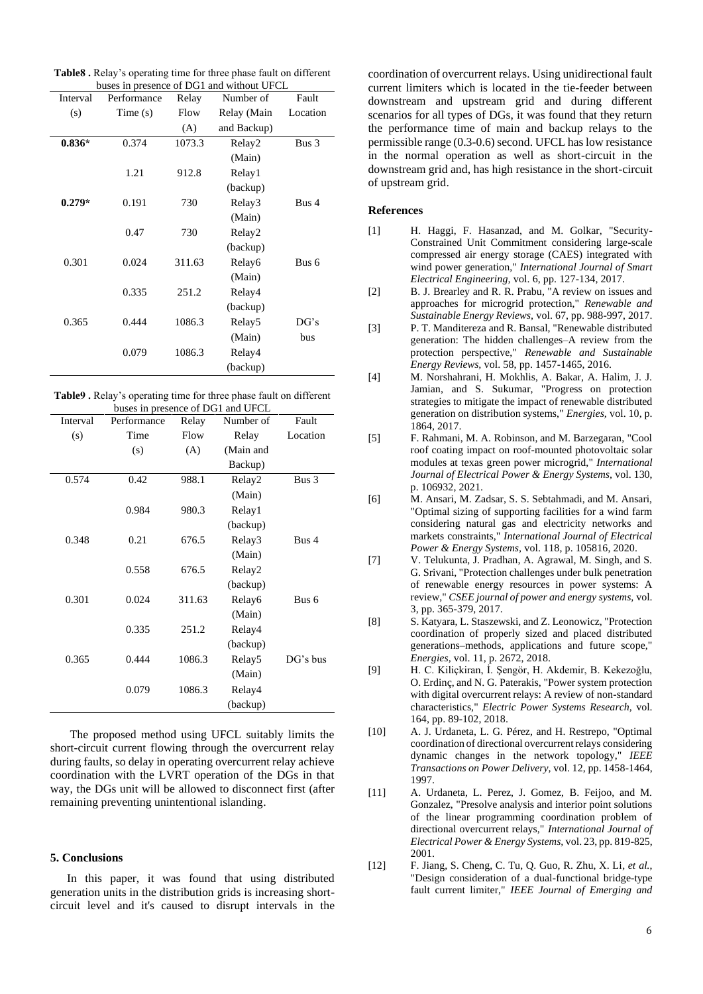**Table8 .** Relay's operating time for three phase fault on different buses in presence of DG1 and without UFCL

| Interval | Performance | Relay  | Number of          | Fault    |
|----------|-------------|--------|--------------------|----------|
| (s)      | Time(s)     | Flow   | Relay (Main        | Location |
|          |             | (A)    | and Backup)        |          |
| $0.836*$ | 0.374       | 1073.3 | Relay2             | Bus 3    |
|          |             |        | (Main)             |          |
|          | 1.21        | 912.8  | Relay1             |          |
|          |             |        | (backup)           |          |
| $0.279*$ | 0.191       | 730    | Relay3             | Bus 4    |
|          |             |        | (Main)             |          |
|          | 0.47        | 730    | Relay2             |          |
|          |             |        | (backup)           |          |
| 0.301    | 0.024       | 311.63 | Relay <sub>6</sub> | Bus 6    |
|          |             |        | (Main)             |          |
|          | 0.335       | 251.2  | Relay4             |          |
|          |             |        | (backup)           |          |
| 0.365    | 0.444       | 1086.3 | Relay <sub>5</sub> | DG's     |
|          |             |        | (Main)             | bus      |
|          | 0.079       | 1086.3 | Relay4             |          |
|          |             |        | (backup)           |          |

| <b>Table9</b> . Relay's operating time for three phase fault on different |
|---------------------------------------------------------------------------|
| buses in presence of DG1 and UFCL                                         |

| Interval | Performance | Relay  | Number of          | Fault    |
|----------|-------------|--------|--------------------|----------|
| (s)      | Time        | Flow   | Relay              | Location |
|          | (s)         | (A)    | (Main and          |          |
|          |             |        | Backup)            |          |
| 0.574    | 0.42        | 988.1  | Relay2             | Bus 3    |
|          |             |        | (Main)             |          |
|          | 0.984       | 980.3  | Relay1             |          |
|          |             |        | (backup)           |          |
| 0.348    | 0.21        | 676.5  | Relay3             | Bus 4    |
|          |             |        | (Main)             |          |
|          | 0.558       | 676.5  | Relay2             |          |
|          |             |        | (backup)           |          |
| 0.301    | 0.024       | 311.63 | Relay6             | Bus 6    |
|          |             |        | (Main)             |          |
|          | 0.335       | 251.2  | Relay4             |          |
|          |             |        | (backup)           |          |
| 0.365    | 0.444       | 1086.3 | Relay <sub>5</sub> | DG's bus |
|          |             |        | (Main)             |          |
|          | 0.079       | 1086.3 | Relay4             |          |
|          |             |        | (backup)           |          |

The proposed method using UFCL suitably limits the short-circuit current flowing through the overcurrent relay during faults, so delay in operating overcurrent relay achieve coordination with the LVRT operation of the DGs in that way, the DGs unit will be allowed to disconnect first (after remaining preventing unintentional islanding.

## **5. Conclusions**

In this paper, it was found that using distributed generation units in the distribution grids is increasing shortcircuit level and it's caused to disrupt intervals in the

coordination of overcurrent relays. Using unidirectional fault current limiters which is located in the tie-feeder between downstream and upstream grid and during different scenarios for all types of DGs, it was found that they return the performance time of main and backup relays to the permissible range (0.3-0.6) second. UFCL has low resistance in the normal operation as well as short-circuit in the downstream grid and, has high resistance in the short-circuit of upstream grid.

#### **References**

- <span id="page-5-0"></span>[1] H. Haggi, F. Hasanzad, and M. Golkar, "Security-Constrained Unit Commitment considering large-scale compressed air energy storage (CAES) integrated with wind power generation," *International Journal of Smart Electrical Engineering,* vol. 6, pp. 127-134, 2017.
- <span id="page-5-1"></span>[2] B. J. Brearley and R. R. Prabu, "A review on issues and approaches for microgrid protection," *Renewable and Sustainable Energy Reviews,* vol. 67, pp. 988-997, 2017.
- [3] P. T. Manditereza and R. Bansal, "Renewable distributed generation: The hidden challenges–A review from the protection perspective," *Renewable and Sustainable Energy Reviews,* vol. 58, pp. 1457-1465, 2016.
- [4] M. Norshahrani, H. Mokhlis, A. Bakar, A. Halim, J. J. Jamian, and S. Sukumar, "Progress on protection strategies to mitigate the impact of renewable distributed generation on distribution systems," *Energies,* vol. 10, p. 1864, 2017.
- [5] F. Rahmani, M. A. Robinson, and M. Barzegaran, "Cool roof coating impact on roof-mounted photovoltaic solar modules at texas green power microgrid," *International Journal of Electrical Power & Energy Systems,* vol. 130, p. 106932, 2021.
- [6] M. Ansari, M. Zadsar, S. S. Sebtahmadi, and M. Ansari, "Optimal sizing of supporting facilities for a wind farm considering natural gas and electricity networks and markets constraints," *International Journal of Electrical Power & Energy Systems,* vol. 118, p. 105816, 2020.
- <span id="page-5-2"></span>[7] V. Telukunta, J. Pradhan, A. Agrawal, M. Singh, and S. G. Srivani, "Protection challenges under bulk penetration of renewable energy resources in power systems: A review," *CSEE journal of power and energy systems,* vol. 3, pp. 365-379, 2017.
- [8] S. Katyara, L. Staszewski, and Z. Leonowicz, "Protection coordination of properly sized and placed distributed generations–methods, applications and future scope," *Energies,* vol. 11, p. 2672, 2018.
- [9] H. C. Kiliçkiran, İ. Şengör, H. Akdemir, B. Kekezoğlu, O. Erdinç, and N. G. Paterakis, "Power system protection with digital overcurrent relays: A review of non-standard characteristics," *Electric Power Systems Research,* vol. 164, pp. 89-102, 2018.
- <span id="page-5-3"></span>[10] A. J. Urdaneta, L. G. Pérez, and H. Restrepo, "Optimal coordination of directional overcurrent relays considering dynamic changes in the network topology," *IEEE Transactions on Power Delivery,* vol. 12, pp. 1458-1464, 1997.
- <span id="page-5-4"></span>[11] A. Urdaneta, L. Perez, J. Gomez, B. Feijoo, and M. Gonzalez, "Presolve analysis and interior point solutions of the linear programming coordination problem of directional overcurrent relays," *International Journal of Electrical Power & Energy Systems,* vol. 23, pp. 819-825, 2001.
- <span id="page-5-5"></span>[12] F. Jiang, S. Cheng, C. Tu, Q. Guo, R. Zhu, X. Li*, et al.*, "Design consideration of a dual-functional bridge-type fault current limiter," *IEEE Journal of Emerging and*